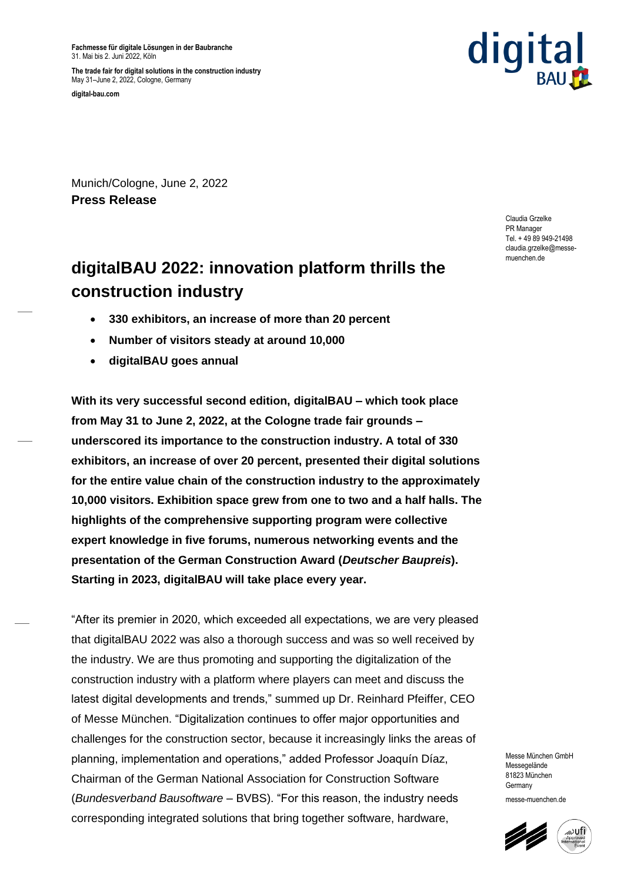**Fachmesse für digitale Lösungen in der Baubranche** 31. Mai bis 2. Juni 2022, Köln

**The trade fair for digital solutions in the construction industry** May 31–June 2, 2022, Cologne, Germany

**digital-bau.com**



Munich/Cologne, June 2, 2022 **Press Release**

> Claudia Grzelke PR Manager Tel. + 49 89 949-21498 claudia.grzelke@messemuenchen.de

# **digitalBAU 2022: innovation platform thrills the construction industry**

- **330 exhibitors, an increase of more than 20 percent**
- **Number of visitors steady at around 10,000**
- **digitalBAU goes annual**

**With its very successful second edition, digitalBAU – which took place from May 31 to June 2, 2022, at the Cologne trade fair grounds – underscored its importance to the construction industry. A total of 330 exhibitors, an increase of over 20 percent, presented their digital solutions for the entire value chain of the construction industry to the approximately 10,000 visitors. Exhibition space grew from one to two and a half halls. The highlights of the comprehensive supporting program were collective expert knowledge in five forums, numerous networking events and the presentation of the German Construction Award (***Deutscher Baupreis***). Starting in 2023, digitalBAU will take place every year.** 

"After its premier in 2020, which exceeded all expectations, we are very pleased that digitalBAU 2022 was also a thorough success and was so well received by the industry. We are thus promoting and supporting the digitalization of the construction industry with a platform where players can meet and discuss the latest digital developments and trends," summed up Dr. Reinhard Pfeiffer, CEO of Messe München. "Digitalization continues to offer major opportunities and challenges for the construction sector, because it increasingly links the areas of planning, implementation and operations," added Professor Joaquín Díaz, Chairman of the German National Association for Construction Software (*Bundesverband Bausoftware* – BVBS). "For this reason, the industry needs corresponding integrated solutions that bring together software, hardware,

Messe München GmbH Messenelände 81823 München Germany messe-muenchen.de

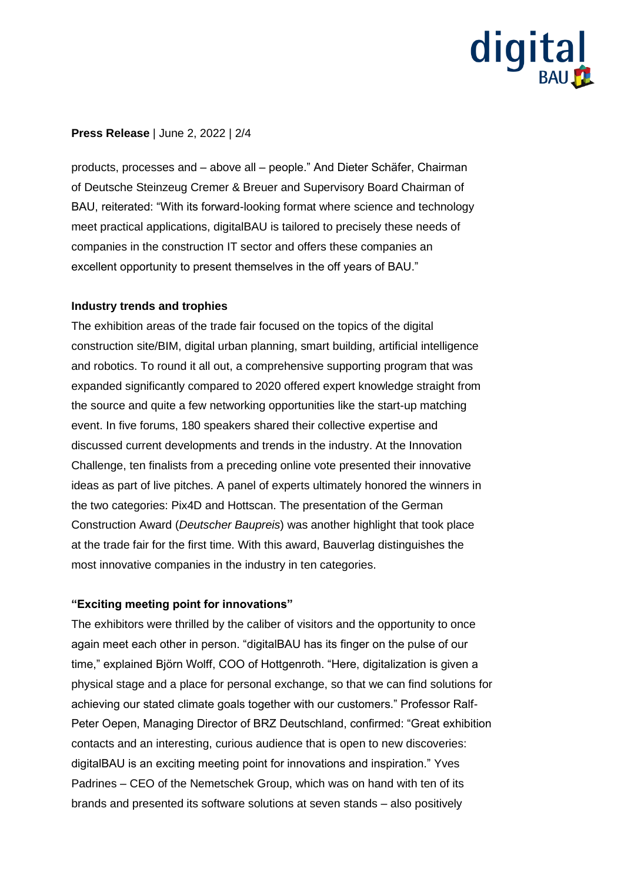

# **Press Release** | June 2, 2022 | 2/4

products, processes and – above all – people." And Dieter Schäfer, Chairman of Deutsche Steinzeug Cremer & Breuer and Supervisory Board Chairman of BAU, reiterated: "With its forward-looking format where science and technology meet practical applications, digitalBAU is tailored to precisely these needs of companies in the construction IT sector and offers these companies an excellent opportunity to present themselves in the off years of BAU."

### **Industry trends and trophies**

The exhibition areas of the trade fair focused on the topics of the digital construction site/BIM, digital urban planning, smart building, artificial intelligence and robotics. To round it all out, a comprehensive supporting program that was expanded significantly compared to 2020 offered expert knowledge straight from the source and quite a few networking opportunities like the start-up matching event. In five forums, 180 speakers shared their collective expertise and discussed current developments and trends in the industry. At the Innovation Challenge, ten finalists from a preceding online vote presented their innovative ideas as part of live pitches. A panel of experts ultimately honored the winners in the two categories: Pix4D and Hottscan. The presentation of the German Construction Award (*Deutscher Baupreis*) was another highlight that took place at the trade fair for the first time. With this award, Bauverlag distinguishes the most innovative companies in the industry in ten categories.

## **"Exciting meeting point for innovations"**

The exhibitors were thrilled by the caliber of visitors and the opportunity to once again meet each other in person. "digitalBAU has its finger on the pulse of our time," explained Björn Wolff, COO of Hottgenroth. "Here, digitalization is given a physical stage and a place for personal exchange, so that we can find solutions for achieving our stated climate goals together with our customers." Professor Ralf-Peter Oepen, Managing Director of BRZ Deutschland, confirmed: "Great exhibition contacts and an interesting, curious audience that is open to new discoveries: digitalBAU is an exciting meeting point for innovations and inspiration." Yves Padrines – CEO of the Nemetschek Group, which was on hand with ten of its brands and presented its software solutions at seven stands – also positively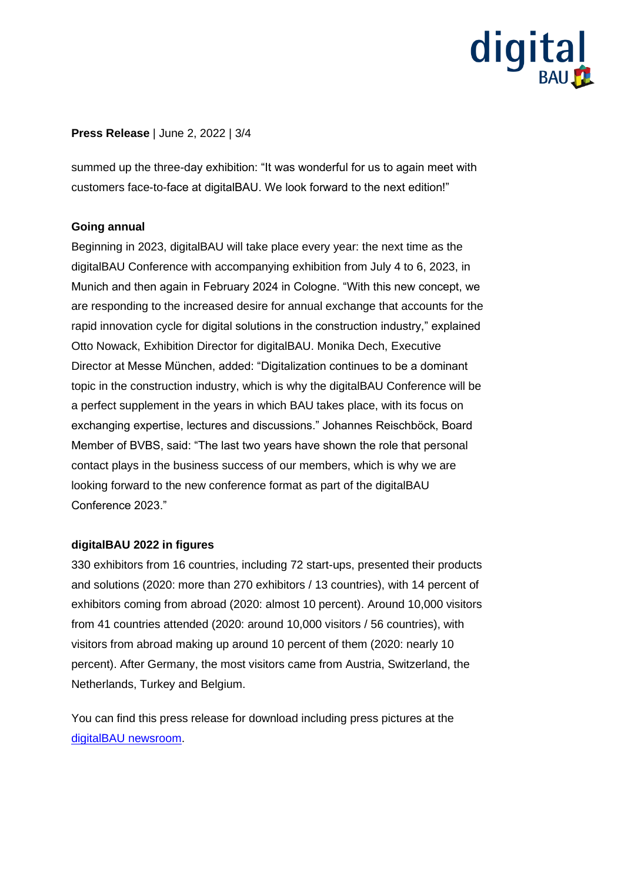# digital

# **Press Release** | June 2, 2022 | 3/4

summed up the three-day exhibition: "It was wonderful for us to again meet with customers face-to-face at digitalBAU. We look forward to the next edition!"

## **Going annual**

Beginning in 2023, digitalBAU will take place every year: the next time as the digitalBAU Conference with accompanying exhibition from July 4 to 6, 2023, in Munich and then again in February 2024 in Cologne. "With this new concept, we are responding to the increased desire for annual exchange that accounts for the rapid innovation cycle for digital solutions in the construction industry," explained Otto Nowack, Exhibition Director for digitalBAU. Monika Dech, Executive Director at Messe München, added: "Digitalization continues to be a dominant topic in the construction industry, which is why the digitalBAU Conference will be a perfect supplement in the years in which BAU takes place, with its focus on exchanging expertise, lectures and discussions." Johannes Reischböck, Board Member of BVBS, said: "The last two years have shown the role that personal contact plays in the business success of our members, which is why we are looking forward to the new conference format as part of the digitalBAU Conference 2023."

#### **digitalBAU 2022 in figures**

330 exhibitors from 16 countries, including 72 start-ups, presented their products and solutions (2020: more than 270 exhibitors / 13 countries), with 14 percent of exhibitors coming from abroad (2020: almost 10 percent). Around 10,000 visitors from 41 countries attended (2020: around 10,000 visitors / 56 countries), with visitors from abroad making up around 10 percent of them (2020: nearly 10 percent). After Germany, the most visitors came from Austria, Switzerland, the Netherlands, Turkey and Belgium.

You can find this press release for download including press pictures at the digitalBAU [newsroom.](https://digital-bau.com/en/press?lc)